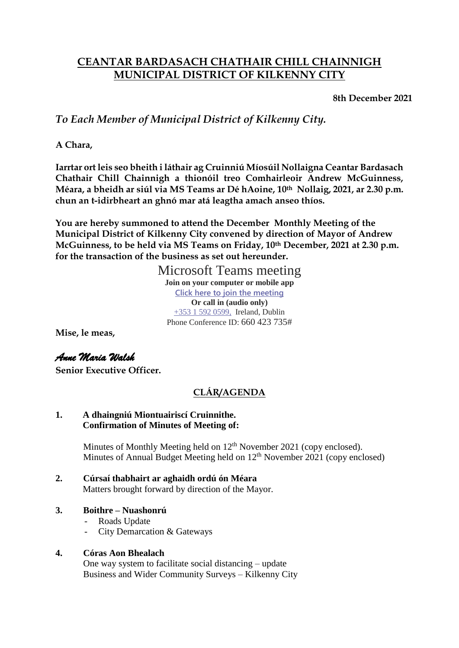### **CEANTAR BARDASACH CHATHAIR CHILL CHAINNIGH MUNICIPAL DISTRICT OF KILKENNY CITY**

**8th December 2021**

*To Each Member of Municipal District of Kilkenny City.*

**A Chara,**

**Iarrtar ort leis seo bheith i láthair ag Cruinniú Míosúil Nollaigna Ceantar Bardasach Chathair Chill Chainnigh a thionóil treo Comhairleoir Andrew McGuinness, Méara, a bheidh ar siúl via MS Teams ar Dé hAoine, 10th Nollaig, 2021, ar 2.30 p.m. chun an t-idirbheart an ghnó mar atá leagtha amach anseo thíos.**

**You are hereby summoned to attend the December Monthly Meeting of the Municipal District of Kilkenny City convened by direction of Mayor of Andrew McGuinness, to be held via MS Teams on Friday, 10th December, 2021 at 2.30 p.m. for the transaction of the business as set out hereunder.** 

Microsoft Teams meeting

**Join on your computer or mobile app [Click here to join the meeting](https://teams.microsoft.com/l/meetup-join/19%3ameeting_MWNiMTYxOTMtYzNhZi00ZDhjLWIyNGUtYWEzMWYxMTZkNzI0%40thread.v2/0?context=%7b%22Tid%22%3a%226918322c-49f6-4d6a-a117-8688e17a7489%22%2c%22Oid%22%3a%2252c24c7d-24e1-4ccd-b6c5-ad1e0b11a7b5%22%7d) Or call in (audio only)** [+353 1 592 0599,](tel:+35315920599,,660423735# ) Ireland, Dublin Phone Conference ID: 660 423 735#

**Mise, le meas,**

# *Anne Maria Walsh*

**Senior Executive Officer.**

## **CLÁR/AGENDA**

#### **1. A dhaingniú Miontuairiscí Cruinnithe. Confirmation of Minutes of Meeting of:**

Minutes of Monthly Meeting held on  $12<sup>th</sup>$  November 2021 (copy enclosed). Minutes of Annual Budget Meeting held on  $12<sup>th</sup>$  November 2021 (copy enclosed)

**2. Cúrsaí thabhairt ar aghaidh ordú ón Méara** Matters brought forward by direction of the Mayor.

#### **3. Boithre – Nuashonrú**

- Roads Update
- City Demarcation & Gateways

#### **4. Córas Aon Bhealach**

One way system to facilitate social distancing – update Business and Wider Community Surveys – Kilkenny City